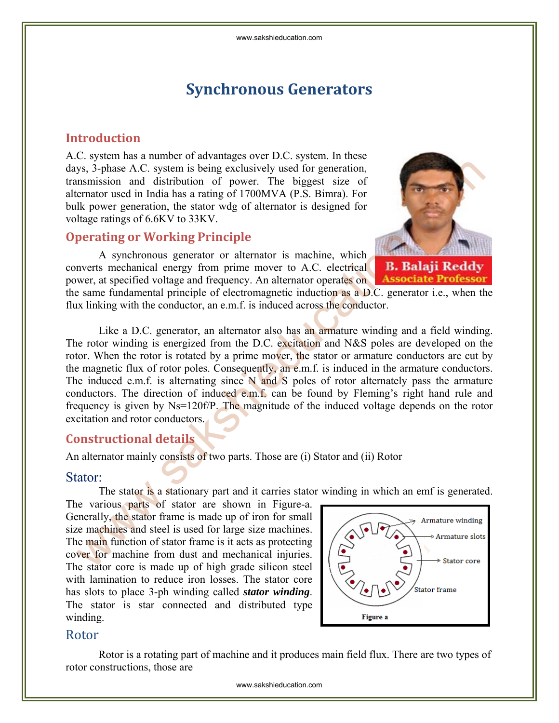# **Synchronous Generators**

## **Introduction**

A.C. system has a number of advantages over D.C. system. In these days, 3-phase A.C. system is being exclusively used for generation, transmission and distribution of power. The biggest size of alternator used in India has a rating of 1700MVA (P.S. Bimra). For bulk power generation, the stator wdg of alternator is designed for voltage ratings of 6.6KV to 33KV.

## **Operating or Working Principle**

A synchronous generator or alternator is machine, which converts mechanical energy from prime mover to A.C. electrical power, at specified voltage and frequency. An alternator operates on



the same fundamental principle of electromagnetic induction as a D.C. generator i.e., when the flux linking with the conductor, an e.m.f. is induced across the conductor.

Like a D.C. generator, an alternator also has an armature winding and a field winding. The rotor winding is energized from the D.C. excitation and N&S poles are developed on the rotor. When the rotor is rotated by a prime mover, the stator or armature conductors are cut by the magnetic flux of rotor poles. Consequently, an e.m.f. is induced in the armature conductors. The induced e.m.f. is alternating since  $N$  and  $S$  poles of rotor alternately pass the armature conductors. The direction of induced e.m.f. can be found by Fleming's right hand rule and frequency is given by Ns=120f/P. The magnitude of the induced voltage depends on the rotor excitation and rotor conductors. ys, 3-phase A.C. system is being exclusively used for generation.<br>
memission and distribution of power. The biggest size of<br>
lk power generation, the stator way of alternator is designed for<br>
lk power generation, the stat

## **Constructional details**

An alternator mainly consists of two parts. Those are (i) Stator and (ii) Rotor

#### Stator:

The stator is a stationary part and it carries stator winding in which an emf is generated.

The various parts of stator are shown in Figure-a. Generally, the stator frame is made up of iron for small size machines and steel is used for large size machines. The main function of stator frame is it acts as protecting cover for machine from dust and mechanical injuries. The stator core is made up of high grade silicon steel with lamination to reduce iron losses. The stator core has slots to place 3-ph winding called *stator winding*. The stator is star connected and distributed type winding.



#### Rotor

 Rotor is a rotating part of machine and it produces main field flux. There are two types of rotor constructions, those are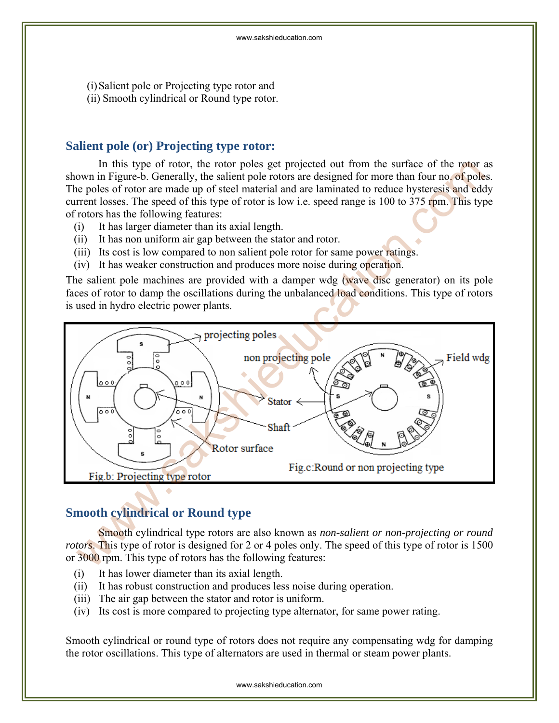(i)Salient pole or Projecting type rotor and (ii) Smooth cylindrical or Round type rotor.

## **Salient pole (or) Projecting type rotor:**

In this type of rotor, the rotor poles get projected out from the surface of the rotor as shown in Figure-b. Generally, the salient pole rotors are designed for more than four no. of poles. The poles of rotor are made up of steel material and are laminated to reduce hysteresis and eddy current losses. The speed of this type of rotor is low i.e. speed range is 100 to 375 rpm. This type of rotors has the following features:

- (i) It has larger diameter than its axial length.
- (ii) It has non uniform air gap between the stator and rotor.
- (iii) Its cost is low compared to non salient pole rotor for same power ratings.
- (iv) It has weaker construction and produces more noise during operation.

The salient pole machines are provided with a damper wdg (wave disc generator) on its pole faces of rotor to damp the oscillations during the unbalanced load conditions. This type of rotors is used in hydro electric power plants.



## **Smooth cylindrical or Round type**

Smooth cylindrical type rotors are also known as *non-salient or non-projecting or round rotors*. This type of rotor is designed for 2 or 4 poles only. The speed of this type of rotor is 1500 or 3000 rpm. This type of rotors has the following features:

- (i) It has lower diameter than its axial length.
- (ii) It has robust construction and produces less noise during operation.
- (iii) The air gap between the stator and rotor is uniform.
- (iv) Its cost is more compared to projecting type alternator, for same power rating.

Smooth cylindrical or round type of rotors does not require any compensating wdg for damping the rotor oscillations. This type of alternators are used in thermal or steam power plants.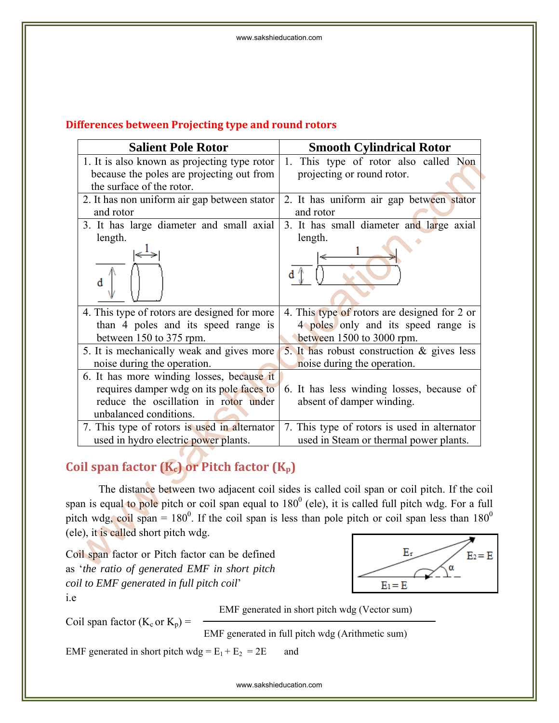## **Differences between Projecting type and round rotors**

| <b>Salient Pole Rotor</b>                       | <b>Smooth Cylindrical Rotor</b>                                                                               |
|-------------------------------------------------|---------------------------------------------------------------------------------------------------------------|
| 1. It is also known as projecting type rotor    | 1. This type of rotor also called Non                                                                         |
| because the poles are projecting out from       | projecting or round rotor.                                                                                    |
| the surface of the rotor.                       |                                                                                                               |
| 2. It has non uniform air gap between stator    | 2. It has uniform air gap between stator                                                                      |
| and rotor                                       | and rotor                                                                                                     |
| 3. It has large diameter and small axial        | 3. It has small diameter and large axial                                                                      |
| length.                                         | length.                                                                                                       |
|                                                 |                                                                                                               |
| đ                                               |                                                                                                               |
|                                                 |                                                                                                               |
| 4. This type of rotors are designed for more    | 4. This type of rotors are designed for 2 or                                                                  |
| than 4 poles and its speed range is             | 4 poles only and its speed range is                                                                           |
| between 150 to 375 rpm.                         | between 1500 to 3000 rpm.                                                                                     |
| 5. It is mechanically weak and gives more       | 5. It has robust construction $\&$ gives less                                                                 |
| noise during the operation.                     | noise during the operation.                                                                                   |
| 6. It has more winding losses, because it       |                                                                                                               |
| requires damper wdg on its pole faces to        | 6. It has less winding losses, because of                                                                     |
| reduce the oscillation in rotor under           | absent of damper winding.                                                                                     |
| unbalanced conditions.                          |                                                                                                               |
| 7. This type of rotors is used in alternator    | 7. This type of rotors is used in alternator                                                                  |
| used in hydro electric power plants.            | used in Steam or thermal power plants.                                                                        |
|                                                 |                                                                                                               |
| oil span factor $(K_c)$ or Pitch factor $(K_p)$ |                                                                                                               |
|                                                 | The distance between two adjacent coil sides is called coil span or coil pitch. If the co                     |
|                                                 | an is equal to pole pitch or coil span equal to 180 <sup>0</sup> (ele), it is called full pitch wdg. For a fu |
|                                                 | tch wdg, coil span = $180^{\circ}$ . If the coil span is less than pole pitch or coil span less than 180      |
|                                                 |                                                                                                               |
| le), it is called short pitch wdg.              |                                                                                                               |
| oil span factor or Pitch factor can be defined  | Er<br>$E_2=$                                                                                                  |
| the ratio of concrated FMF in short pitch       | α                                                                                                             |

# Coil span factor (K<sub>c</sub>) or Pitch factor (K<sub>p</sub>)

Coil span factor or Pitch factor can be defined as '*the ratio of generated EMF in short pitch coil to EMF generated in full pitch coil*' i.e



EMF generated in short pitch wdg (Vector sum)

Coil span factor  $(K_c$  or  $K_p)$  =

EMF generated in full pitch wdg (Arithmetic sum)

EMF generated in short pitch wdg =  $E_1 + E_2 = 2E$  and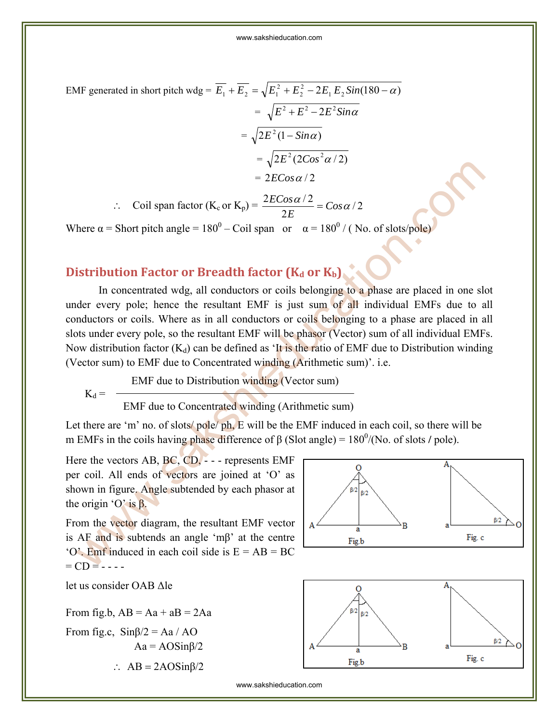EMF generated in short pitch wdg =  $\overline{E_1} + \overline{E_2} = \sqrt{E_1^2 + E_2^2 - 2E_1E_2Sin(180 - \alpha)}$  $\overline{E_1} + \overline{E_2} = \sqrt{E_1^2 + E_2^2} - 2E_1 E_2 Sin(180 - \alpha)$  $=\sqrt{E^2+E^2-2E^2Sin\alpha}$  $=\sqrt{2 E^2 (1 - \sin \alpha)}$  $=\sqrt{2 E^{2} (2 C \omega^{2} \alpha / 2)}$  $= 2ECos \alpha/2$ 

∴ Coil span factor  $(K_c$  or  $K_p) = \frac{2L\cos\alpha/2}{2E} = Cos\alpha/2$ 2  $\frac{2ECos\alpha/2}{2\pi} = Cos\alpha$ *E*  $\frac{ECos\alpha/2}{2\pi}$  =

Where  $\alpha$  = Short pitch angle = 180<sup>0</sup> – Coil span or  $\alpha$  = 180<sup>0</sup> / (No. of slots/pole)

## **Distribution Factor or Breadth factor (Kd or Kb)**

In concentrated wdg, all conductors or coils belonging to a phase are placed in one slot under every pole; hence the resultant EMF is just sum of all individual EMFs due to all conductors or coils. Where as in all conductors or coils belonging to a phase are placed in all slots under every pole, so the resultant EMF will be phasor (Vector) sum of all individual EMFs. Now distribution factor  $(K_d)$  can be defined as 'It is the ratio of EMF due to Distribution winding (Vector sum) to EMF due to Concentrated winding (Arithmetic sum)'. i.e. We are the vectors and all the Concentrated winding (Arithmetics and all the content of Concentrated wind a proportion. The content of Concentrated wind  $\epsilon_0 = 180^0$  (No. of slots/polor)<br>
istribution Factor or Breadth

EMF due to Distribution winding (Vector sum)

$$
\mathbf{K}_\mathrm{d} =
$$

EMF due to Concentrated winding (Arithmetic sum)

Let there are 'm' no. of slots/ pole/ ph, E will be the EMF induced in each coil, so there will be m EMFs in the coils having phase difference of  $\beta$  (Slot angle) =  $180^{\circ}$ /(No. of slots / pole).

Here the vectors AB, BC, CD, - - - represents EMF per coil. All ends of vectors are joined at 'O' as shown in figure. Angle subtended by each phasor at the origin 'O' is  $β$ .

From the vector diagram, the resultant EMF vector is AF and is subtends an angle 'mβ' at the centre  $\degree$ O'. Emf induced in each coil side is  $E = AB = BC$  $=$  CD  $=$  - - - -

let us consider OAB Δle

From fig.b,  $AB = Aa + aB = 2Aa$ From fig.c,  $\sin\beta/2 = Aa / AO$  $Aa = AOSin\beta/2$ :  $AB = 2AOSin\beta/2$ 

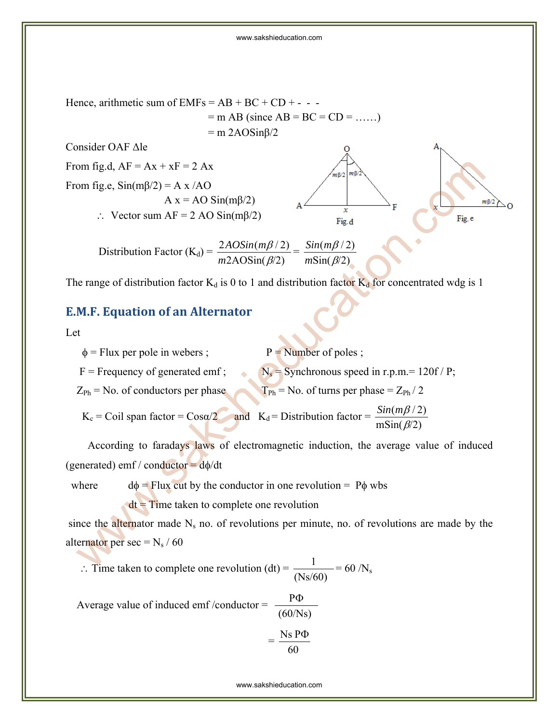

The range of distribution factor  $K_d$  is 0 to 1 and distribution factor  $K_d$  for concentrated wdg is 1

## **E.M.F. Equation of an Alternator**

#### Let

| $\phi$ = Flux per pole in webers ;       | $P =$ Number of poles;                                                                   |
|------------------------------------------|------------------------------------------------------------------------------------------|
| $F = F$ Frequency of generated emf;      | $N_s$ = Synchronous speed in r.p.m. = 120f / P;                                          |
| $Z_{Ph}$ = No. of conductors per phase   | $T_{Ph}$ = No. of turns per phase = $Z_{Ph}$ / 2                                         |
| $K_c$ = Coil span factor = $Cos\alpha/2$ | $Sin(m\beta/2)$<br>and $K_d$ = Distribution factor = $\dot{=}$<br>$\text{mSin}(\beta/2)$ |

 According to faradays laws of electromagnetic induction, the average value of induced (generated) emf / conductor =  $d\phi/dt$ 

where  $d\phi =$  Flux cut by the conductor in one revolution = P $\phi$  wbs  $dt =$  Time taken to complete one revolution

since the alternator made  $N_s$  no. of revolutions per minute, no. of revolutions are made by the alternator per sec =  $N_s / 60$ 

∴ Time taken to complete one revolution (dt) =  $\frac{1}{(Ns/60)}$  = 60 /N<sub>s</sub>

Average value of induced emf /conductor =  $\frac{P\Phi}{(60/Ns)}$ 

$$
=\frac{\text{Ns }P\Phi}{60}
$$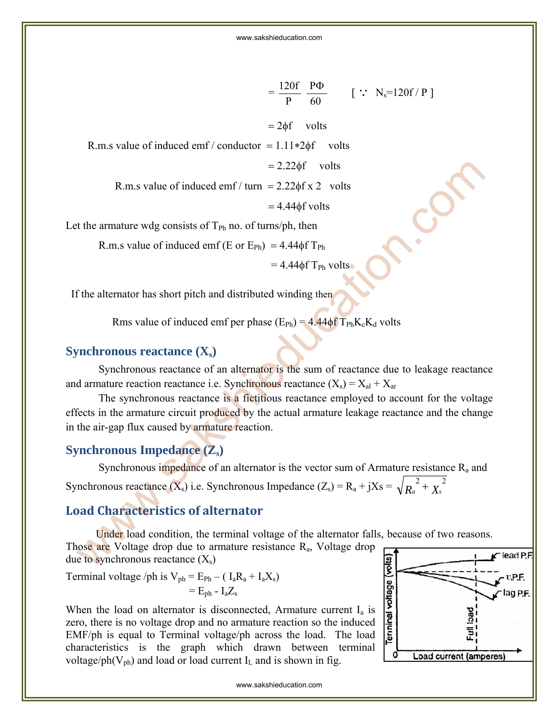$$
= \frac{120f}{P} \frac{P\Phi}{60} \qquad [\because N_s=120f/P]
$$
  
= 2\phi f volts  
R.m.s value of induced emf/ conductor = 1.11\*2\phi f volts  
= 2.22\phi f volts  
R.m.s value of induced emf/ turn = 2.22\phi f x 2 volts  
= 4.44\phi f volts

Let the armature wdg consists of  $T_{Ph}$  no. of turns/ph, then

R.m.s value of induced emf (E or  $E_{Ph}$ ) = 4.44 $\phi$ f T<sub>Ph</sub>

 $= 4.44 \phi f T_{Ph}$  volts

If the alternator has short pitch and distributed winding then

Rms value of induced emf per phase  $(E_{Ph}) = 4.44 \phi f T_{Ph}K_cK_d$  volts

## **Synchronous reactance (X<sub>s</sub>)**

Synchronous reactance of an alternator is the sum of reactance due to leakage reactance and armature reaction reactance i.e. Synchronous reactance  $(X_s) = X_{al} + X_{ar}$ 

The synchronous reactance is a fictitious reactance employed to account for the voltage effects in the armature circuit produced by the actual armature leakage reactance and the change in the air-gap flux caused by armature reaction. = 2.22 $\phi$ f volts<br>
= 2.22 $\phi$ f volts<br>
= 4.44 $\phi$ f volts<br>
= 4.44 $\phi$ f volts<br>
= 4.44 $\phi$ f volts<br>
the armature wdg consists of  $T_{Pn}$ , no. of turns/ph, then<br>
R.m.s value of induced emf (E or  $E_{Pn}$ ) = 4.44 $\phi$ f  $T_{Pn}$ <br>
=

## **Synchronous Impedance (Z<sub>s</sub>)**

Synchronous impedance of an alternator is the vector sum of Armature resistance  $R_a$  and Synchronous reactance  $(X_s)$  i.e. Synchronous Impedance  $(Z_s) = R_a + jXs = \sqrt{R_a^2 + X_s^2}$ 

## **Load Characteristics of alternator**

 Under load condition, the terminal voltage of the alternator falls, because of two reasons. Those are Voltage drop due to armature resistance R<sub>a</sub>, Voltage drop due to synchronous reactance  $(X_s)$ 

Terminal voltage /ph is  $V_{ph} = E_{Ph} - (I_a R_a + I_a X_s)$  $=$  E<sub>ph</sub> - I<sub>a</sub>Z<sub>s</sub>

When the load on alternator is disconnected, Armature current  $I_a$  is zero, there is no voltage drop and no armature reaction so the induced EMF/ph is equal to Terminal voltage/ph across the load. The load characteristics is the graph which drawn between terminal voltage/ph( $V_{ph}$ ) and load or load current  $I_L$  and is shown in fig.

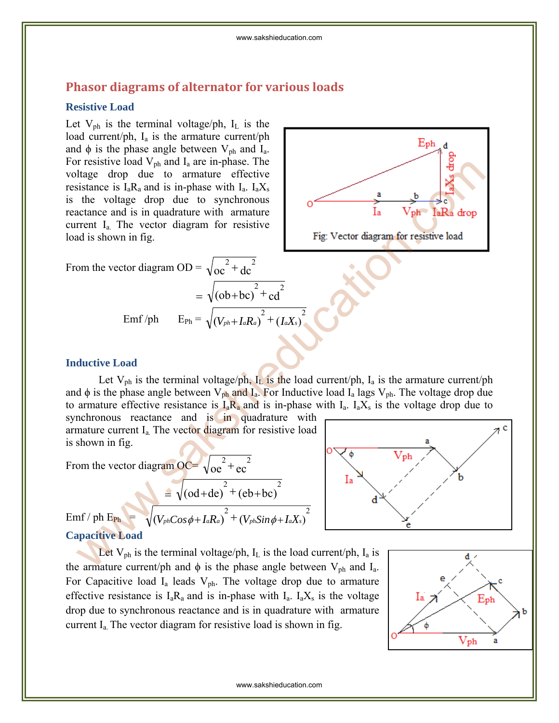## **Phasor diagrams of alternator for various loads**

#### **Resistive Load**

Let  $V_{ph}$  is the terminal voltage/ph,  $I_L$  is the load current/ph,  $I_a$  is the armature current/ph and  $\phi$  is the phase angle between  $V_{ph}$  and  $I_a$ . For resistive load  $V_{ph}$  and  $I_a$  are in-phase. The voltage drop due to armature effective resistance is  $I_a R_a$  and is in-phase with  $I_a$ .  $I_a X_s$ is the voltage drop due to synchronous reactance and is in quadrature with armature current Ia. The vector diagram for resistive load is shown in fig.

From the vector diagram OD = 
$$
\sqrt{\text{oc}^2 + \text{dc}^2}
$$

$$
= \sqrt{(ob+bc)}^2 + cd^2
$$
  
Emf/ph 
$$
E_{Ph} = \sqrt{(V_{ph} + I_aR_a)}^2 + (I_aX_s)^2
$$



#### **Inductive Load**

Let  $V_{ph}$  is the terminal voltage/ph,  $I_L$  is the load current/ph,  $I_a$  is the armature current/ph and  $\phi$  is the phase angle between  $V_{ph}$  and  $I_a$ . For Inductive load  $I_a$  lags  $V_{ph}$ . The voltage drop due to armature effective resistance is  $I_a R_a$  and is in-phase with  $I_a$ .  $I_a X_s$  is the voltage drop due to synchronous reactance and is in quadrature with r essistive load<br>
lange drop duc to armature cflictive<br>
sistance is 1,R, and is imphase with 1, 1,X, x<br>
of the voltage drop duc to synchronous<br>
the voltage drop duc to synchronous<br>
dis shown in fig.<br>
and is shown in fig.<br>

armature current  $I_a$ . The vector diagram for resistive load is shown in fig.

From the vector diagram  $OC = \sqrt{oe^2 + ec^2}$ 

$$
\frac{\sqrt{6c \cdot c}}{\text{Emf } / \text{ph E}_{\text{Ph}}} = \sqrt{(o d + d e)^2 + (e b + b c)^2}
$$
\n
$$
\frac{1}{\sqrt{(V_{ph} C_{OS} \phi + I_a R_a)^2 + (V_{ph} Sin \phi + I_a X_s)^2}}
$$

## **Capacitive Load**

Let  $V_{ph}$  is the terminal voltage/ph,  $I_L$  is the load current/ph,  $I_a$  is the armature current/ph and  $\phi$  is the phase angle between  $V_{ph}$  and  $I_a$ . For Capacitive load  $I_a$  leads  $V_{ph}$ . The voltage drop due to armature effective resistance is  $I_a R_a$  and is in-phase with  $I_a$ .  $I_a X_s$  is the voltage drop due to synchronous reactance and is in quadrature with armature current Ia. The vector diagram for resistive load is shown in fig.

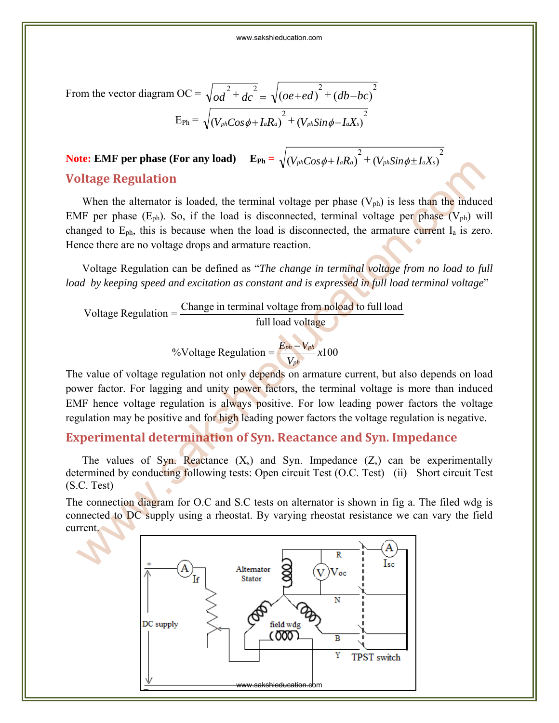From the vector diagram OC = 
$$
\sqrt{od^2 + dc^2} = \sqrt{(oe + ed)^2 + (db - bc)^2}
$$
  
\n
$$
E_{Ph} = \sqrt{(V_{ph}Cos\phi + I_aRa)^2 + (V_{ph}Sin\phi - I_aX_s)^2}
$$

# **Note: EMF per phase (For any load)**  $\mathbf{E_{Ph}} = \sqrt{\left(V_{ph} Cos \phi + I_a R_a\right)^2 + \left(V_{ph} Sin \phi \pm I_a X_s\right)^2}$ **Voltage Regulation**

When the alternator is loaded, the terminal voltage per phase  $(V_{ph})$  is less than the induced EMF per phase  $(E_{ph})$ . So, if the load is disconnected, terminal voltage per phase  $(V_{ph})$  will changed to  $E_{ph}$ , this is because when the load is disconnected, the armature current  $I_a$  is zero. Hence there are no voltage drops and armature reaction. We have the phase (volume Registration of Syn. Particles are the phase (E<sub>ph</sub>). So, if the load is disconnected, terminal voltage per phase (V<sub>ph</sub>) is less than the induced WF per phase (E<sub>ph</sub>). So, if the load is disconn

Voltage Regulation can be defined as "*The change in terminal voltage from no load to full load by keeping speed and excitation as constant and is expressed in full load terminal voltage*"

$$
Voltage Regularion = 
$$
\frac{Change in terminal voltage from noload to full load
$$
 
$$
full load voltage
$$
$$

<sup>9</sup>6
$$
\text{Voltage Regulation} = \frac{E_{ph} - V_{ph}}{V_{ph}} \times 100
$$

The value of voltage regulation not only depends on armature current, but also depends on load power factor. For lagging and unity power factors, the terminal voltage is more than induced EMF hence voltage regulation is always positive. For low leading power factors the voltage regulation may be positive and for high leading power factors the voltage regulation is negative.

## **Experimental determination of Syn. Reactance and Syn. Impedance**

The values of Syn. Reactance  $(X_s)$  and Syn. Impedance  $(Z_s)$  can be experimentally determined by conducting following tests: Open circuit Test (O.C. Test) (ii) Short circuit Test (S.C. Test)

The connection diagram for O.C and S.C tests on alternator is shown in fig a. The filed wdg is connected to DC supply using a rheostat. By varying rheostat resistance we can vary the field current.

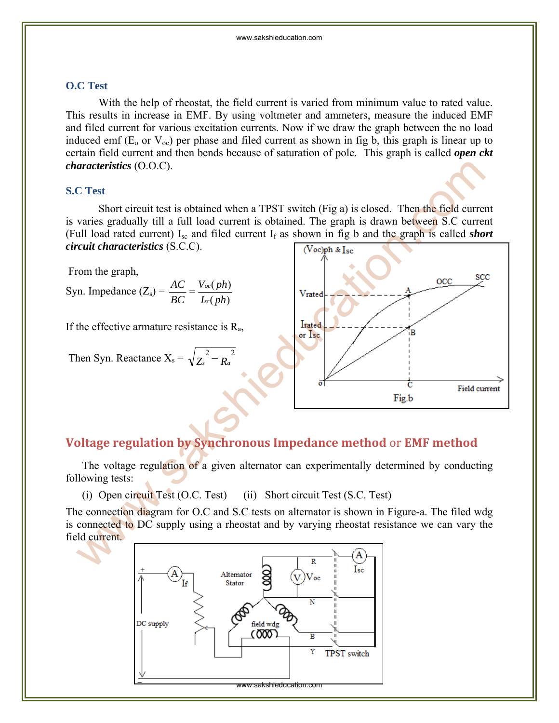#### **O.C Test**

 With the help of rheostat, the field current is varied from minimum value to rated value. This results in increase in EMF. By using voltmeter and ammeters, measure the induced EMF and filed current for various excitation currents. Now if we draw the graph between the no load induced emf ( $E_0$  or  $V_{oc}$ ) per phase and filed current as shown in fig b, this graph is linear up to certain field current and then bends because of saturation of pole. This graph is called *open ckt characteristics* (O.O.C).

#### **S.C Test**

 Short circuit test is obtained when a TPST switch (Fig a) is closed. Then the field current is varies gradually till a full load current is obtained. The graph is drawn between S.C current (Full load rated current) Isc and filed current If as shown in fig b and the graph is called *short circuit characteristics* (S.C.C).

From the graph,

Syn. Impedance  $(Z_s) = \frac{AC}{BC} = \frac{V_{oc}(ph)}{I_{sc}(ph)}$ *I ph V ph BC AC sc*  $=\frac{V_{oc}}{I}$ 

If the effective armature resistance is  $R_a$ ,

Then Syn. Reactance 
$$
X_s = \sqrt{Z_s^2 - R_a^2}
$$



## **Voltage regulation by Synchronous Impedance method** or **EMF method**

The voltage regulation of a given alternator can experimentally determined by conducting following tests:

(i) Open circuit Test (O.C. Test) (ii) Short circuit Test (S.C. Test)

The connection diagram for O.C and S.C tests on alternator is shown in Figure-a. The filed wdg is connected to DC supply using a rheostat and by varying rheostat resistance we can vary the field current.